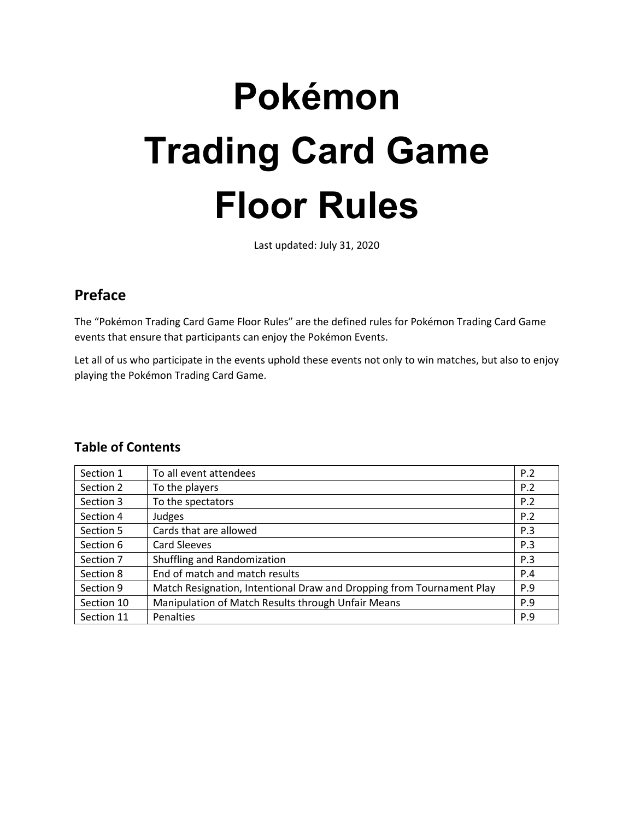# **Pokémon Trading Card Game Floor Rules**

Last updated: July 31, 2020

## **Preface**

The "Pokémon Trading Card Game Floor Rules" are the defined rules for Pokémon Trading Card Game events that ensure that participants can enjoy the Pokémon Events.

Let all of us who participate in the events uphold these events not only to win matches, but also to enjoy playing the Pokémon Trading Card Game.

## **Table of Contents**

| Section 1  | To all event attendees                                                | P.2 |
|------------|-----------------------------------------------------------------------|-----|
| Section 2  | To the players                                                        | P.2 |
| Section 3  | To the spectators                                                     | P.2 |
| Section 4  | Judges                                                                | P.2 |
| Section 5  | Cards that are allowed                                                | P.3 |
| Section 6  | Card Sleeves                                                          | P.3 |
| Section 7  | Shuffling and Randomization                                           | P.3 |
| Section 8  | End of match and match results                                        | P.4 |
| Section 9  | Match Resignation, Intentional Draw and Dropping from Tournament Play | P.9 |
| Section 10 | Manipulation of Match Results through Unfair Means                    | P.9 |
| Section 11 | Penalties                                                             | P.9 |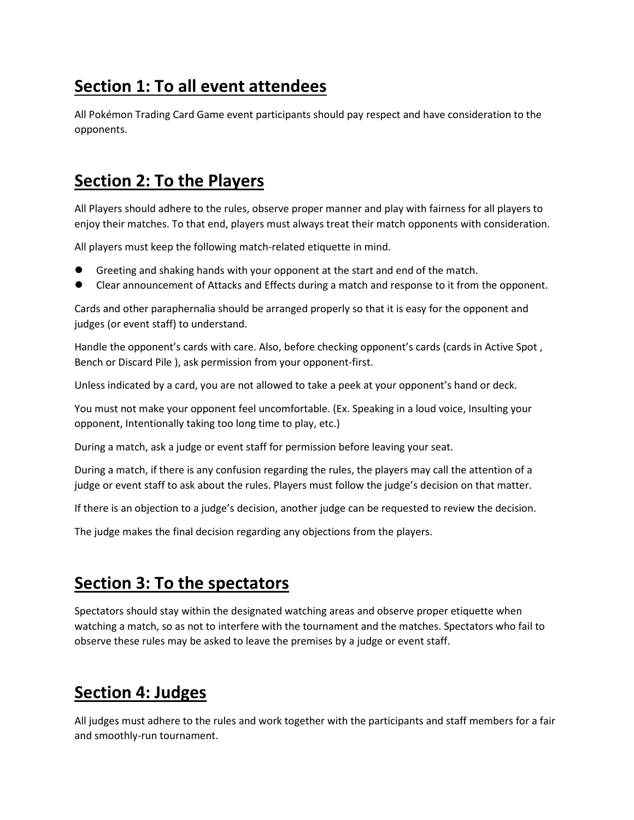# **Section 1: To all event attendees**

All Pokémon Trading Card Game event participants should pay respect and have consideration to the opponents.

## **Section 2: To the Players**

All Players should adhere to the rules, observe proper manner and play with fairness for all players to enjoy their matches. To that end, players must always treat their match opponents with consideration.

All players must keep the following match-related etiquette in mind.

- Greeting and shaking hands with your opponent at the start and end of the match.
- Clear announcement of Attacks and Effects during a match and response to it from the opponent.

Cards and other paraphernalia should be arranged properly so that it is easy for the opponent and judges (or event staff) to understand.

Handle the opponent's cards with care. Also, before checking opponent's cards (cards in Active Spot , Bench or Discard Pile ), ask permission from your opponent-first.

Unless indicated by a card, you are not allowed to take a peek at your opponent's hand or deck.

You must not make your opponent feel uncomfortable. (Ex. Speaking in a loud voice, Insulting your opponent, Intentionally taking too long time to play, etc.)

During a match, ask a judge or event staff for permission before leaving your seat.

During a match, if there is any confusion regarding the rules, the players may call the attention of a judge or event staff to ask about the rules. Players must follow the judge's decision on that matter.

If there is an objection to a judge's decision, another judge can be requested to review the decision.

The judge makes the final decision regarding any objections from the players.

## **Section 3: To the spectators**

Spectators should stay within the designated watching areas and observe proper etiquette when watching a match, so as not to interfere with the tournament and the matches. Spectators who fail to observe these rules may be asked to leave the premises by a judge or event staff.

## **Section 4: Judges**

All judges must adhere to the rules and work together with the participants and staff members for a fair and smoothly-run tournament.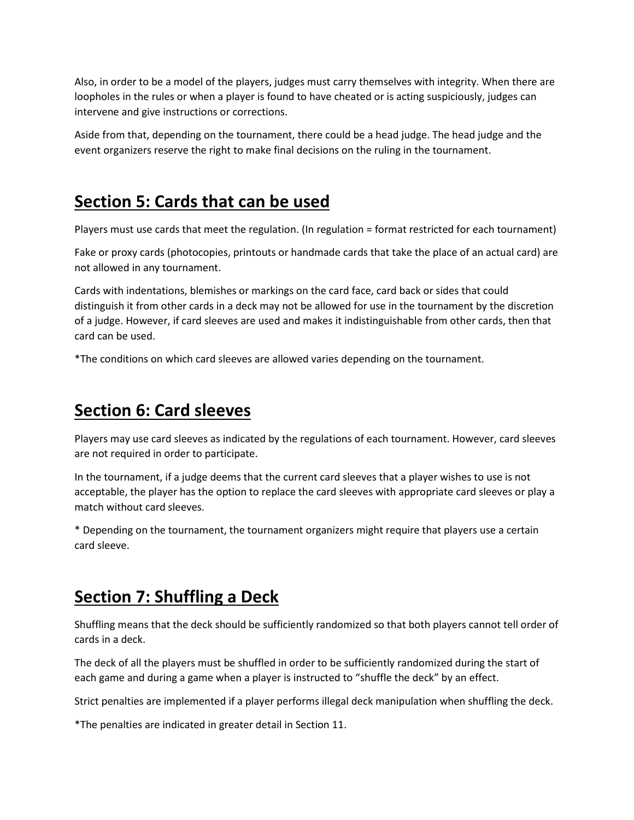Also, in order to be a model of the players, judges must carry themselves with integrity. When there are loopholes in the rules or when a player is found to have cheated or is acting suspiciously, judges can intervene and give instructions or corrections.

Aside from that, depending on the tournament, there could be a head judge. The head judge and the event organizers reserve the right to make final decisions on the ruling in the tournament.

## **Section 5: Cards that can be used**

Players must use cards that meet the regulation. (In regulation = format restricted for each tournament)

Fake or proxy cards (photocopies, printouts or handmade cards that take the place of an actual card) are not allowed in any tournament.

Cards with indentations, blemishes or markings on the card face, card back or sides that could distinguish it from other cards in a deck may not be allowed for use in the tournament by the discretion of a judge. However, if card sleeves are used and makes it indistinguishable from other cards, then that card can be used.

\*The conditions on which card sleeves are allowed varies depending on the tournament.

# **Section 6: Card sleeves**

Players may use card sleeves as indicated by the regulations of each tournament. However, card sleeves are not required in order to participate.

In the tournament, if a judge deems that the current card sleeves that a player wishes to use is not acceptable, the player has the option to replace the card sleeves with appropriate card sleeves or play a match without card sleeves.

\* Depending on the tournament, the tournament organizers might require that players use a certain card sleeve.

# **Section 7: Shuffling a Deck**

Shuffling means that the deck should be sufficiently randomized so that both players cannot tell order of cards in a deck.

The deck of all the players must be shuffled in order to be sufficiently randomized during the start of each game and during a game when a player is instructed to "shuffle the deck" by an effect.

Strict penalties are implemented if a player performs illegal deck manipulation when shuffling the deck.

\*The penalties are indicated in greater detail in Section 11.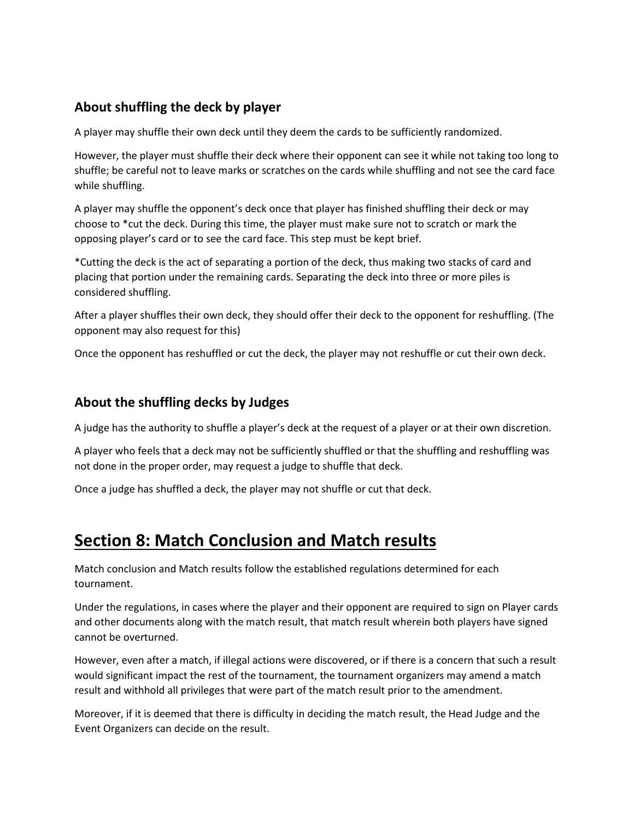## **About shuffling the deck by player**

A player may shuffle their own deck until they deem the cards to be sufficiently randomized.

However, the player must shuffle their deck where their opponent can see it while not taking too long to shuffle; be careful not to leave marks or scratches on the cards while shuffling and not see the card face while shuffling.

A player may shuffle the opponent's deck once that player has finished shuffling their deck or may choose to \*cut the deck. During this time, the player must make sure not to scratch or mark the opposing player's card or to see the card face. This step must be kept brief.

\*Cutting the deck is the act of separating a portion of the deck, thus making two stacks of card and placing that portion under the remaining cards. Separating the deck into three or more piles is considered shuffling.

After a player shuffles their own deck, they should offer their deck to the opponent for reshuffling. (The opponent may also request for this)

Once the opponent has reshuffled or cut the deck, the player may not reshuffle or cut their own deck.

### **About the shuffling decks by Judges**

A judge has the authority to shuffle a player's deck at the request of a player or at their own discretion.

A player who feels that a deck may not be sufficiently shuffled or that the shuffling and reshuffling was not done in the proper order, may request a judge to shuffle that deck.

Once a judge has shuffled a deck, the player may not shuffle or cut that deck.

# **Section 8: Match Conclusion and Match results**

Match conclusion and Match results follow the established regulations determined for each tournament.

Under the regulations, in cases where the player and their opponent are required to sign on Player cards and other documents along with the match result, that match result wherein both players have signed cannot be overturned.

However, even after a match, if illegal actions were discovered, or if there is a concern that such a result would significant impact the rest of the tournament, the tournament organizers may amend a match result and withhold all privileges that were part of the match result prior to the amendment.

Moreover, if it is deemed that there is difficulty in deciding the match result, the Head Judge and the Event Organizers can decide on the result.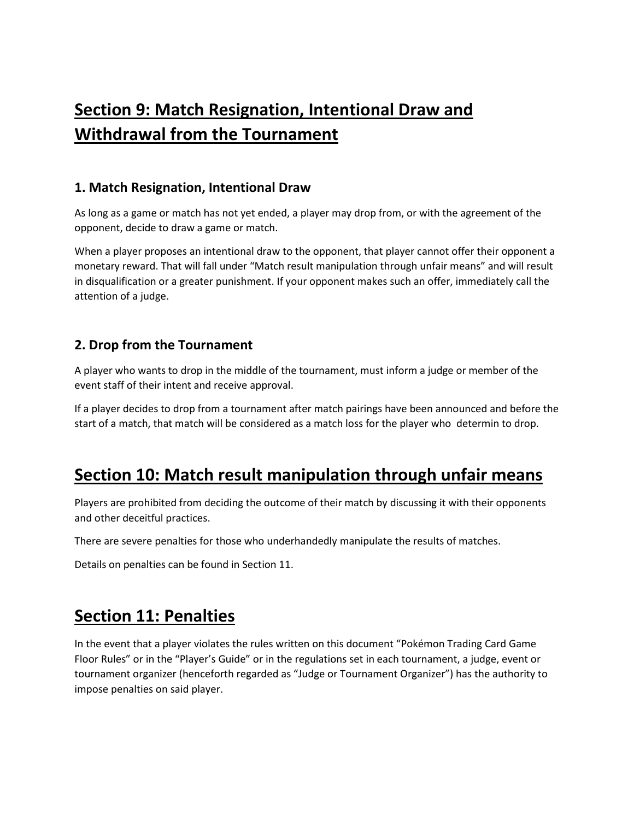# **Section 9: Match Resignation, Intentional Draw and Withdrawal from the Tournament**

## **1. Match Resignation, Intentional Draw**

As long as a game or match has not yet ended, a player may drop from, or with the agreement of the opponent, decide to draw a game or match.

When a player proposes an intentional draw to the opponent, that player cannot offer their opponent a monetary reward. That will fall under "Match result manipulation through unfair means" and will result in disqualification or a greater punishment. If your opponent makes such an offer, immediately call the attention of a judge.

## **2. Drop from the Tournament**

A player who wants to drop in the middle of the tournament, must inform a judge or member of the event staff of their intent and receive approval.

If a player decides to drop from a tournament after match pairings have been announced and before the start of a match, that match will be considered as a match loss for the player who determin to drop.

# **Section 10: Match result manipulation through unfair means**

Players are prohibited from deciding the outcome of their match by discussing it with their opponents and other deceitful practices.

There are severe penalties for those who underhandedly manipulate the results of matches.

Details on penalties can be found in Section 11.

## **Section 11: Penalties**

In the event that a player violates the rules written on this document "Pokémon Trading Card Game Floor Rules" or in the "Player's Guide" or in the regulations set in each tournament, a judge, event or tournament organizer (henceforth regarded as "Judge or Tournament Organizer") has the authority to impose penalties on said player.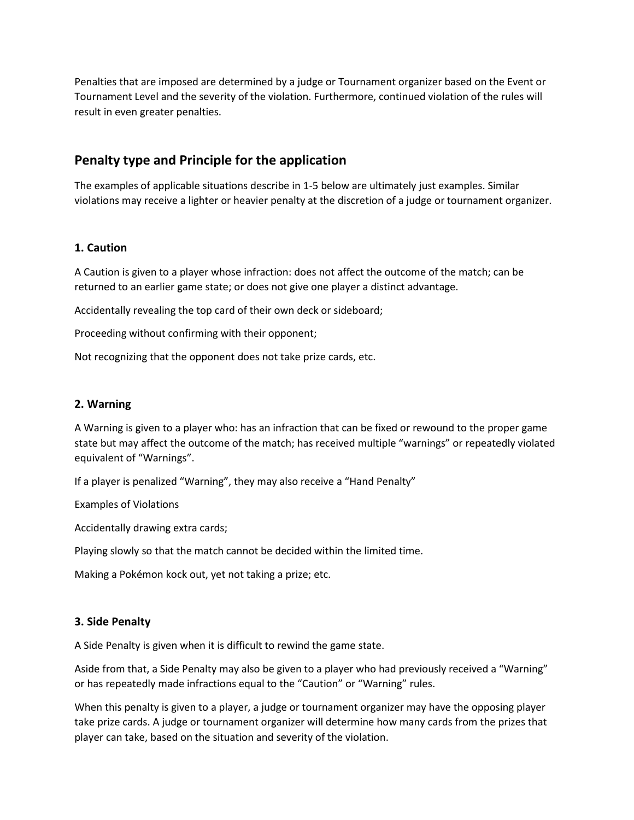Penalties that are imposed are determined by a judge or Tournament organizer based on the Event or Tournament Level and the severity of the violation. Furthermore, continued violation of the rules will result in even greater penalties.

### **Penalty type and Principle for the application**

The examples of applicable situations describe in 1-5 below are ultimately just examples. Similar violations may receive a lighter or heavier penalty at the discretion of a judge or tournament organizer.

#### **1. Caution**

A Caution is given to a player whose infraction: does not affect the outcome of the match; can be returned to an earlier game state; or does not give one player a distinct advantage.

Accidentally revealing the top card of their own deck or sideboard;

Proceeding without confirming with their opponent;

Not recognizing that the opponent does not take prize cards, etc.

#### **2. Warning**

A Warning is given to a player who: has an infraction that can be fixed or rewound to the proper game state but may affect the outcome of the match; has received multiple "warnings" or repeatedly violated equivalent of "Warnings".

If a player is penalized "Warning", they may also receive a "Hand Penalty"

Examples of Violations

Accidentally drawing extra cards;

Playing slowly so that the match cannot be decided within the limited time.

Making a Pokémon kock out, yet not taking a prize; etc.

#### **3. Side Penalty**

A Side Penalty is given when it is difficult to rewind the game state.

Aside from that, a Side Penalty may also be given to a player who had previously received a "Warning" or has repeatedly made infractions equal to the "Caution" or "Warning" rules.

When this penalty is given to a player, a judge or tournament organizer may have the opposing player take prize cards. A judge or tournament organizer will determine how many cards from the prizes that player can take, based on the situation and severity of the violation.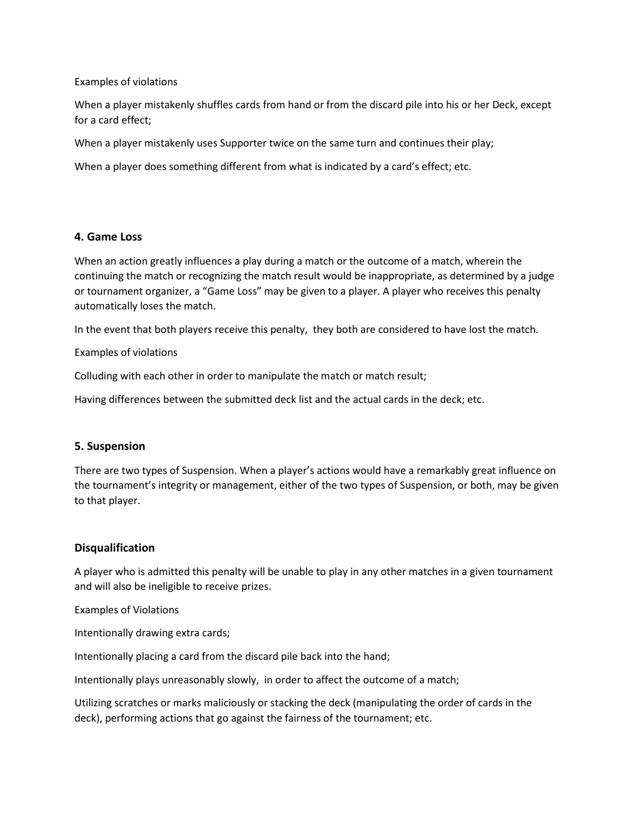Examples of violations

When a player mistakenly shuffles cards from hand or from the discard pile into his or her Deck, except for a card effect;

When a player mistakenly uses Supporter twice on the same turn and continues their play;

When a player does something different from what is indicated by a card's effect; etc.

#### **4. Game Loss**

When an action greatly influences a play during a match or the outcome of a match, wherein the continuing the match or recognizing the match result would be inappropriate, as determined by a judge or tournament organizer, a "Game Loss" may be given to a player. A player who receives this penalty automatically loses the match.

In the event that both players receive this penalty, they both are considered to have lost the match.

Examples of violations

Colluding with each other in order to manipulate the match or match result;

Having differences between the submitted deck list and the actual cards in the deck; etc.

#### **5. Suspension**

There are two types of Suspension. When a player's actions would have a remarkably great influence on the tournament's integrity or management, either of the two types of Suspension, or both, may be given to that player.

#### **Disqualification**

A player who is admitted this penalty will be unable to play in any other matches in a given tournament and will also be ineligible to receive prizes.

Examples of Violations

Intentionally drawing extra cards;

Intentionally placing a card from the discard pile back into the hand;

Intentionally plays unreasonably slowly, in order to affect the outcome of a match;

Utilizing scratches or marks maliciously or stacking the deck (manipulating the order of cards in the deck), performing actions that go against the fairness of the tournament; etc.